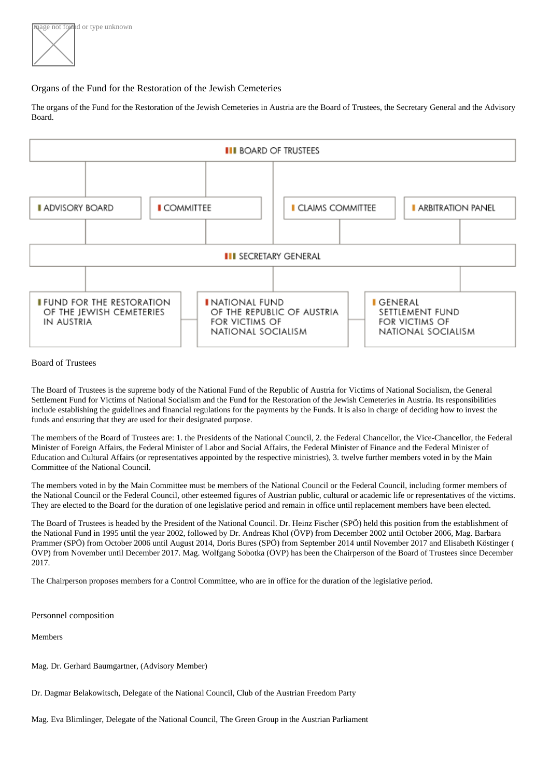age not føllind or type unknown

## Organs of the Fund for the Restoration of the Jewish Cemeteries

Theorgans of the Fund for the Restoration of the Jewish Cemeteries in Austria **Boarthe** Trustees the [Secretary Gener](https://www.friedhofsfonds.org/organs/secretary-general.html#secretary-general)al nd th[e Advisory](https://www.friedhofsfonds.org/organs/advisory-board.html#advisory-board) [Board](https://www.friedhofsfonds.org/organs/advisory-board.html#advisory-board).

## Board of Trustees

The Board of Trustees is the supreme body of the National Fund of the Republic of Austria for Victims of National Socialism, the General Settlement Fund for Victims of National Socialism and the Fund for the Restoration of the Jewish Cemeteries in Austria. Its responsibilities include establishing the guidelines and financial regulations for the payments by the Funds. It is also in charge of deciding how to invest the funds and ensuring that they are used for their designated purpose.

The members of the Board of Trustees are: 1Ptbeidents of the National Council the Federal Chancellor, the Vice-Chancellor, the Federal Minister of Foreign Affairs, the Federal Minister of Labor and Social Affairs, the Federal Minister of Finance and the Federal Minister of Education and Cultural Affairs (or representatives appointed by the respective ministries), 3. twelve further members voted in by the Main Committee of the National Council.

The members voted in by the Main Committee must be members of the National Counched and Haulding former members of the National Council or the Federal Council, other esteemed figures of Austrian public, cultural or academic life or representatives of the victir They are elected to the Board for the duration of one legislative period and remain in office until replacement members have been elected.

TheBoard of Trustees is headed by the President of the National Counctibing Fische (SPÖ) held this position from the establishment of theNational Fund in 1995 until the year 2002, followed by Andreas Kho(ÖVP) from December 2002 until October 2006ag. Barbara [Pramme](http://www.parlament.gv.at/WWER/PAD_04476/)r (SPÖ) from October 2006 until August 2010 pris Bures (SPÖ) from September 2014 until November 2017 Erlisabeth Köstinger ÖVP) from November until December 2010 as Wolfgang Sobotka (ÖVP) has been the Chairperson of the Board of Trustees since December 2017.

The Chairperson proposes members fooatrol Committeewho are in office for the duration of the legislative period.

Personnel composition

**Mamhare** 

[Mag. Dr. Gerhard Baumgartn](http://www.doew.at/mitarbeiterinnen/mag-dr-gerhard-baumgartner)e Advisory Member)

[Dr. Dagmar Belakowitsc](https://www.parlament.gv.at/WWER/PAD_35468/index.shtml)hDelegate of the National Council, Club of the Austrian Freedom Party

[Mag. Eva Blimlinge](https://www.parlament.gv.at/WWER/PAD_05649/index.shtml)r, Delegate of the National Council, The Green Group in the Austrian Parliament